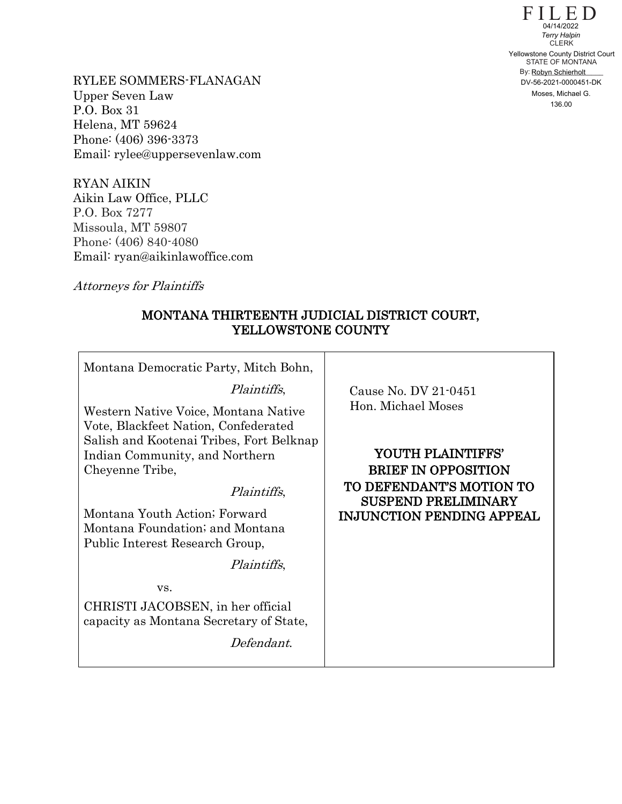$F\coprod_{04/14/2022}D$ STATE OF MONTANA By: Robyn Schierholt CLERK 04/14/2022<br>
Terry Halpin<br>
CLERK<br>
Yellowstone County District Court<br>
STATE OF MONTANA<br>
By: Robyn Schierholt<br>
DV-56-2021-0000451-DK<br>
Moses, Michael G.<br>
136.00

RYLEE SOMMERS-FLANAGAN Upper Seven Law P.O. Box 31 Helena, MT 59624 Phone: (406) 396-3373 Email: rylee@uppersevenlaw.com

RYAN AIKIN Aikin Law Office, PLLC P.O. Box 7277 Missoula, MT 59807 Phone: (406) 840-4080 Email: ryan@aikinlawoffice.com

Attorneys for Plaintiffs

## MONTANA THIRTEENTH JUDICIAL DISTRICT COURT, YELLOWSTONE COUNTY

| Montana Democratic Party, Mitch Bohn,                                                                                    |                                                        |
|--------------------------------------------------------------------------------------------------------------------------|--------------------------------------------------------|
| Plaintiffs,                                                                                                              | Cause No. DV 21-0451                                   |
| Western Native Voice, Montana Native<br>Vote, Blackfeet Nation, Confederated<br>Salish and Kootenai Tribes, Fort Belknap | Hon. Michael Moses                                     |
| Indian Community, and Northern                                                                                           | YOUTH PLAINTIFFS'                                      |
| Cheyenne Tribe,                                                                                                          | <b>BRIEF IN OPPOSITION</b>                             |
| <i>Plaintiffs</i> ,                                                                                                      | TO DEFENDANT'S MOTION TO<br><b>SUSPEND PRELIMINARY</b> |
| Montana Youth Action; Forward                                                                                            | <b>INJUNCTION PENDING APPEAL</b>                       |
| Montana Foundation; and Montana                                                                                          |                                                        |
| Public Interest Research Group,                                                                                          |                                                        |
| <i>Plaintiffs</i> ,                                                                                                      |                                                        |
| VS.                                                                                                                      |                                                        |
| CHRISTI JACOBSEN, in her official<br>capacity as Montana Secretary of State,                                             |                                                        |
| Defendant.                                                                                                               |                                                        |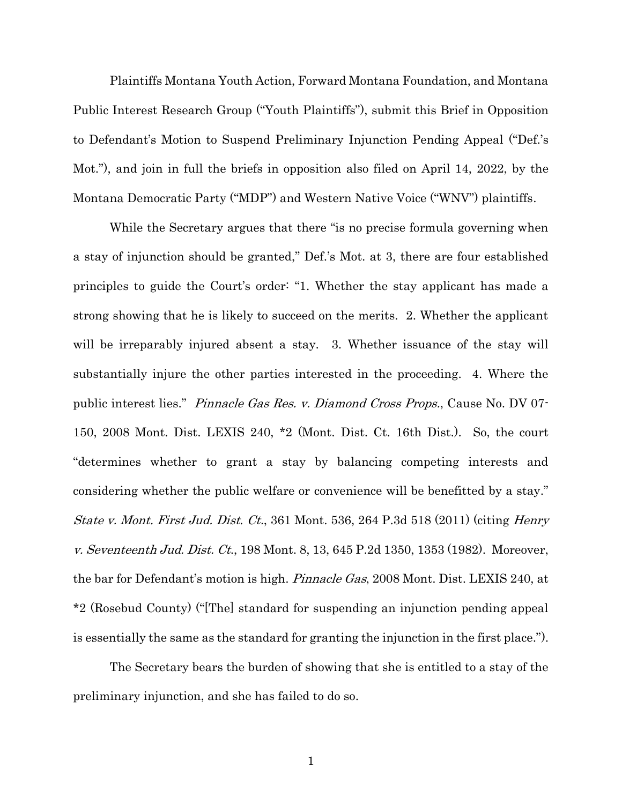Plaintiffs Montana Youth Action, Forward Montana Foundation, and Montana Public Interest Research Group ("Youth Plaintiffs"), submit this Brief in Opposition to Defendant's Motion to Suspend Preliminary Injunction Pending Appeal ("Def.'s Mot."), and join in full the briefs in opposition also filed on April 14, 2022, by the Montana Democratic Party ("MDP") and Western Native Voice ("WNV") plaintiffs.

While the Secretary argues that there "is no precise formula governing when a stay of injunction should be granted," Def.'s Mot. at 3, there are four established principles to guide the Court's order: "1. Whether the stay applicant has made a strong showing that he is likely to succeed on the merits. 2. Whether the applicant will be irreparably injured absent a stay. 3. Whether issuance of the stay will substantially injure the other parties interested in the proceeding. 4. Where the public interest lies." Pinnacle Gas Res. v. Diamond Cross Props., Cause No. DV 07- 150, 2008 Mont. Dist. LEXIS 240, \*2 (Mont. Dist. Ct. 16th Dist.). So, the court "determines whether to grant a stay by balancing competing interests and considering whether the public welfare or convenience will be benefitted by a stay." State v. Mont. First Jud. Dist. Ct., 361 Mont. 536, 264 P.3d 518 (2011) (citing Henry v. Seventeenth Jud. Dist. Ct., 198 Mont. 8, 13, 645 P.2d 1350, 1353 (1982). Moreover, the bar for Defendant's motion is high. *Pinnacle Gas*, 2008 Mont. Dist. LEXIS 240, at \*2 (Rosebud County) ("[The] standard for suspending an injunction pending appeal is essentially the same as the standard for granting the injunction in the first place.").

The Secretary bears the burden of showing that she is entitled to a stay of the preliminary injunction, and she has failed to do so.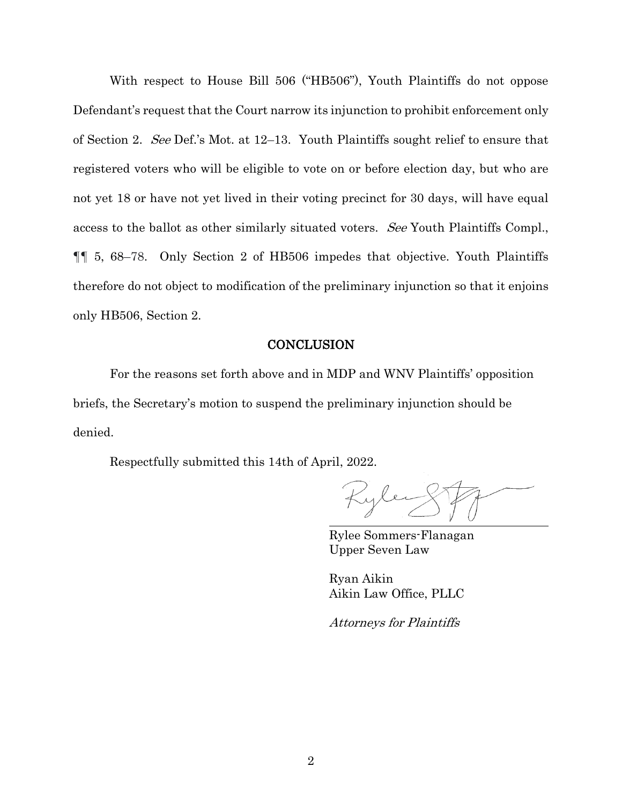With respect to House Bill 506 ("HB506"), Youth Plaintiffs do not oppose Defendant's request that the Court narrow its injunction to prohibit enforcement only of Section 2. See Def.'s Mot. at 12–13. Youth Plaintiffs sought relief to ensure that registered voters who will be eligible to vote on or before election day, but who are not yet 18 or have not yet lived in their voting precinct for 30 days, will have equal access to the ballot as other similarly situated voters. See Youth Plaintiffs Compl., ¶¶ 5, 68–78. Only Section 2 of HB506 impedes that objective. Youth Plaintiffs therefore do not object to modification of the preliminary injunction so that it enjoins only HB506, Section 2.

## **CONCLUSION**

For the reasons set forth above and in MDP and WNV Plaintiffs' opposition briefs, the Secretary's motion to suspend the preliminary injunction should be denied.

Respectfully submitted this 14th of April, 2022.

Rylee Sommers-Flanagan Upper Seven Law

Ryan Aikin Aikin Law Office, PLLC

Attorneys for Plaintiffs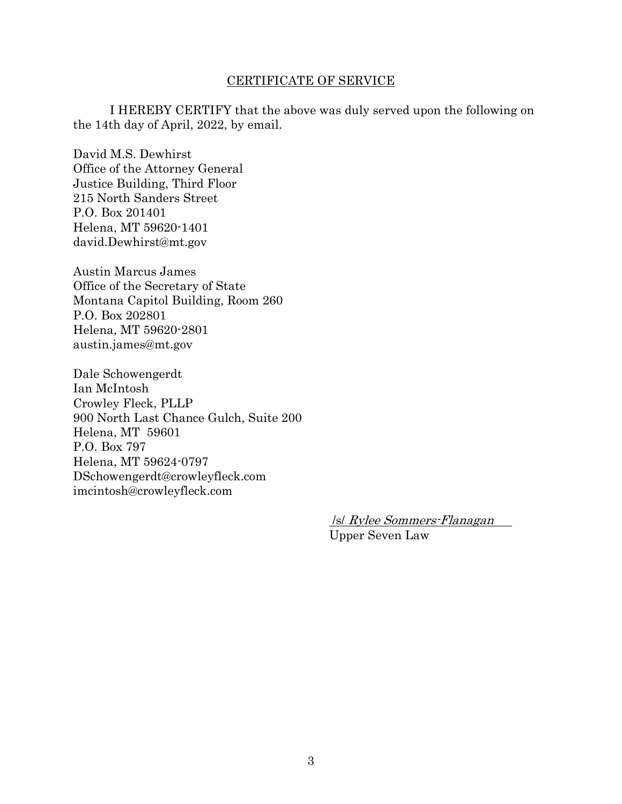## CERTIFICATE OF SERVICE

I HEREBY CERTIFY that the above was duly served upon the following on the 14th day of April, 2022, by email.

David M.S. Dewhirst Office of the Attorney General Justice Building, Third Floor 215 North Sanders Street P.O. Box 201401 Helena, MT 59620-1401 david.Dewhirst@mt.gov

Austin Marcus James Office of the Secretary of State Montana Capitol Building, Room 260 P.O. Box 202801 Helena, MT 59620-2801 austin.james@mt.gov

Dale Schowengerdt Ian McIntosh Crowley Fleck, PLLP 900 North Last Chance Gulch, Suite 200 Helena, MT 59601 P.O. Box 797 Helena, MT 59624-0797 DSchowengerdt@crowleyfleck.com imcintosh@crowleyfleck.com

> /s/ Rylee Sommers-Flanagan Upper Seven Law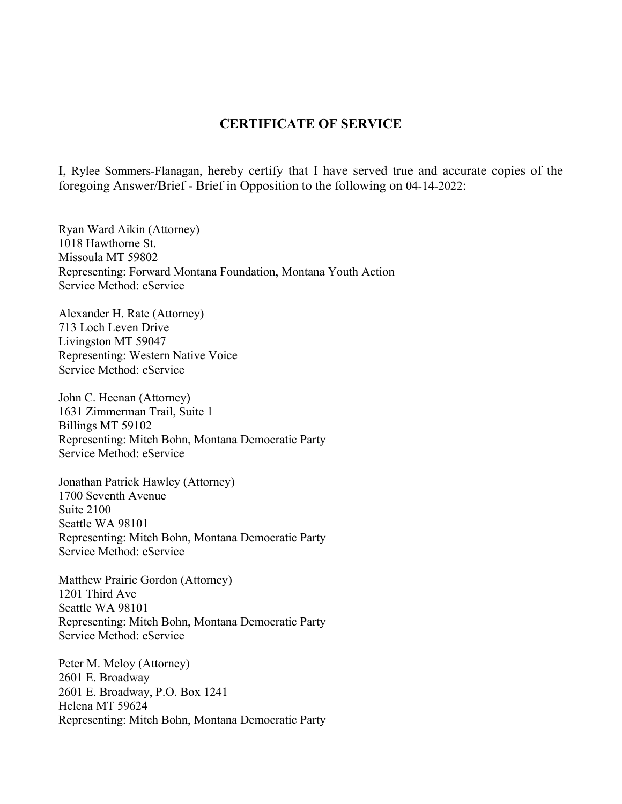## **CERTIFICATE OF SERVICE**

I, Rylee Sommers-Flanagan, hereby certify that I have served true and accurate copies of the foregoing Answer/Brief - Brief in Opposition to the following on 04-14-2022:

Ryan Ward Aikin (Attorney) 1018 Hawthorne St. Missoula MT 59802 Representing: Forward Montana Foundation, Montana Youth Action Service Method: eService

Alexander H. Rate (Attorney) 713 Loch Leven Drive Livingston MT 59047 Representing: Western Native Voice Service Method: eService

John C. Heenan (Attorney) 1631 Zimmerman Trail, Suite 1 Billings MT 59102 Representing: Mitch Bohn, Montana Democratic Party Service Method: eService

Jonathan Patrick Hawley (Attorney) 1700 Seventh Avenue Suite 2100 Seattle WA 98101 Representing: Mitch Bohn, Montana Democratic Party Service Method: eService

Matthew Prairie Gordon (Attorney) 1201 Third Ave Seattle WA 98101 Representing: Mitch Bohn, Montana Democratic Party Service Method: eService

Peter M. Meloy (Attorney) 2601 E. Broadway 2601 E. Broadway, P.O. Box 1241 Helena MT 59624 Representing: Mitch Bohn, Montana Democratic Party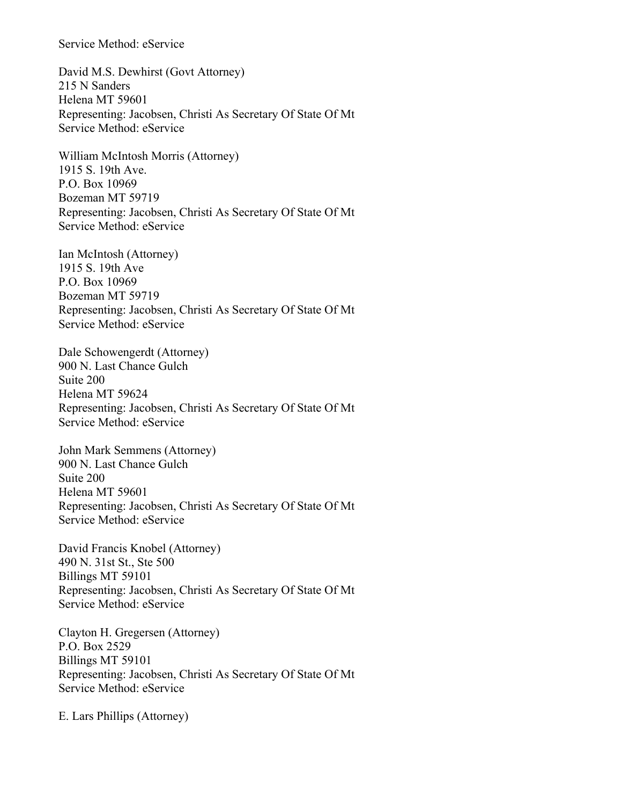Service Method: eService

David M.S. Dewhirst (Govt Attorney) 215 N Sanders Helena MT 59601 Representing: Jacobsen, Christi As Secretary Of State Of Mt Service Method: eService

William McIntosh Morris (Attorney) 1915 S. 19th Ave. P.O. Box 10969 Bozeman MT 59719 Representing: Jacobsen, Christi As Secretary Of State Of Mt Service Method: eService

Ian McIntosh (Attorney) 1915 S. 19th Ave P.O. Box 10969 Bozeman MT 59719 Representing: Jacobsen, Christi As Secretary Of State Of Mt Service Method: eService

Dale Schowengerdt (Attorney) 900 N. Last Chance Gulch Suite 200 Helena MT 59624 Representing: Jacobsen, Christi As Secretary Of State Of Mt Service Method: eService

John Mark Semmens (Attorney) 900 N. Last Chance Gulch Suite 200 Helena MT 59601 Representing: Jacobsen, Christi As Secretary Of State Of Mt Service Method: eService

David Francis Knobel (Attorney) 490 N. 31st St., Ste 500 Billings MT 59101 Representing: Jacobsen, Christi As Secretary Of State Of Mt Service Method: eService

Clayton H. Gregersen (Attorney) P.O. Box 2529 Billings MT 59101 Representing: Jacobsen, Christi As Secretary Of State Of Mt Service Method: eService

E. Lars Phillips (Attorney)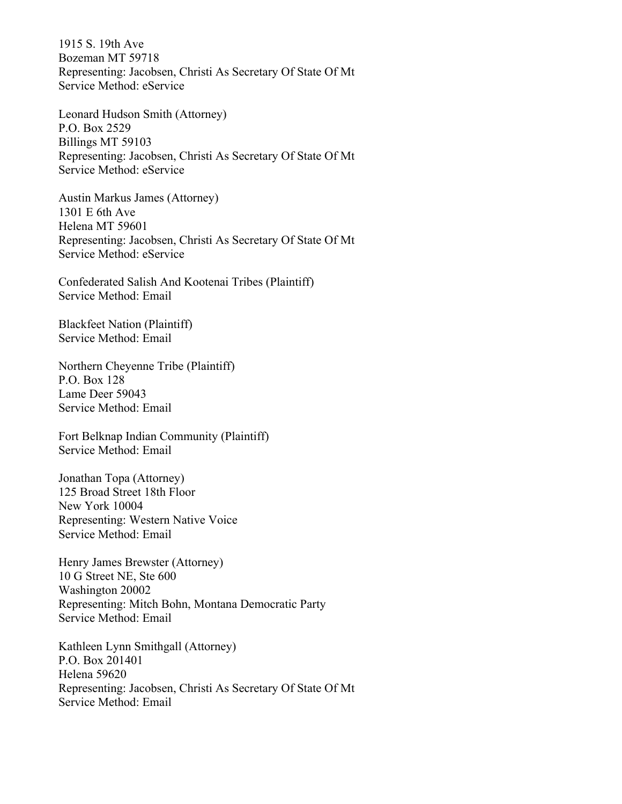1915 S. 19th Ave Bozeman MT 59718 Representing: Jacobsen, Christi As Secretary Of State Of Mt Service Method: eService

Leonard Hudson Smith (Attorney) P.O. Box 2529 Billings MT 59103 Representing: Jacobsen, Christi As Secretary Of State Of Mt Service Method: eService

Austin Markus James (Attorney) 1301 E 6th Ave Helena MT 59601 Representing: Jacobsen, Christi As Secretary Of State Of Mt Service Method: eService

Confederated Salish And Kootenai Tribes (Plaintiff) Service Method: Email

Blackfeet Nation (Plaintiff) Service Method: Email

Northern Cheyenne Tribe (Plaintiff) P.O. Box 128 Lame Deer 59043 Service Method: Email

Fort Belknap Indian Community (Plaintiff) Service Method: Email

Jonathan Topa (Attorney) 125 Broad Street 18th Floor New York 10004 Representing: Western Native Voice Service Method: Email

Henry James Brewster (Attorney) 10 G Street NE, Ste 600 Washington 20002 Representing: Mitch Bohn, Montana Democratic Party Service Method: Email

Kathleen Lynn Smithgall (Attorney) P.O. Box 201401 Helena 59620 Representing: Jacobsen, Christi As Secretary Of State Of Mt Service Method: Email